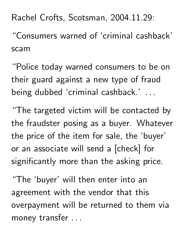Rachel Crofts, Scotsman, 2004.11.29:

"Consumers warned of 'criminal cashback' scam

"Police today warned consumers to be on their guard against a new type of fraud being dubbed 'criminal cashback.' .. and the contract of the contract of the

"The targeted victim will be contacted by the fraudster posing as a buyer. Whatever the price of the item for sale, the 'buyer' or an associate will send a [check] for significantly more than the asking price.

"The 'buyer' will then enter into an agreement with the vendor that this overpayment will be returned to them via money transfer ..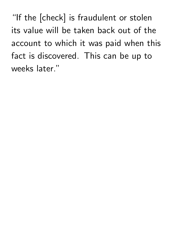"If the [check] is fraudulent or stolen its value will be taken back out of the account to which it was paid when this fact is discovered. This can be up to weeks later."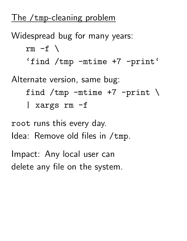## The /tmp-cleaning problem

Widespread bug for many years:  $rm -f \ \backslash$ 'find /tmp -mtime +7 -print' Alternate version, same bug: find /tmp  $-mtime +7$  -print \ | xargs rm -f

root runs this every day. Idea: Remove old files in /tmp.

Impact: Any local user can delete any file on the system.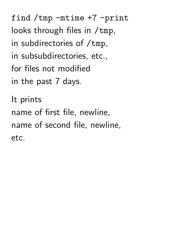find /tmp -mtime +7 -print looks through files in /tmp, in subdirectories of /tmp, in subsubdirectories, etc., for files not modified in the past 7 days. It prints

name of first file, newline,

etc.

name of second file, newline,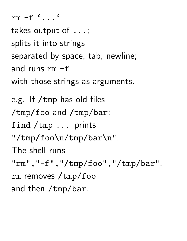rm -f '...' takes output of ...; splits it into strings separated by space, tab, newline; and runs rm -f with those strings as arguments. e.g. If /tmp has old files /tmp/foo and /tmp/bar: find /tmp ... prints "/tmp/foo\n/tmp/bar\n". The shell runs "rm","-f","/tmp/foo","/tmp/bar". rm removes /tmp/foo and then /tmp/bar.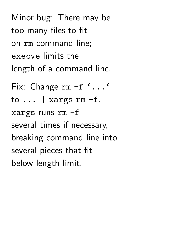Minor bug: There may be too many files to fit on rm command line; execve limits the length of a command line.

Fix: Change rm -f '...' to ... | xargs rm -f. xargs runs rm -f several times if necessary, breaking command line into several pieces that fit below length limit.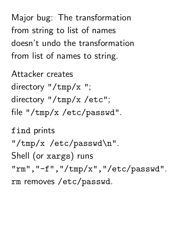Major bug: The transformation from string to list of names doesn't undo the transformation from list of names to string.

Attacker creates directory "/tmp/x "; directory "/tmp/x /etc"; file "/tmp/x /etc/passwd".

find prints "/tmp/x /etc/passwd\n". Shell (or xargs) runs "rm", "-f", "/tmp/x", "/etc/passwd". rm removes /etc/passwd.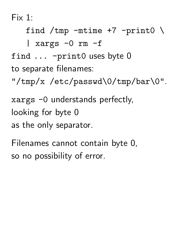Fix 1:

find /tmp  $-mtime +7$  -print $0 \setminus$ 

| xargs  $-0$  rm  $-f$ 

find ... -print0 uses byte 0 to separate filenames:

"/tmp/x /etc/passwd\0/tmp/bar\0".

xargs -0 understands perfectly, looking for byte 0 as the only separator.

Filenames cannot contain byte 0, so no possibility of error.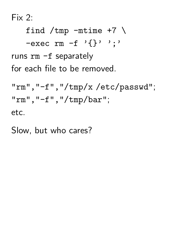Fix 2:

find /tmp  $-mtime +7$  \  $-$ exec rm  $-f$  '{}' ';' runs rm -f separately for each file to be removed.

```
"rm","-f","/tmp/x /etc/passwd";
"rm", "-f", "/tmp/bar";
etc.
```
Slow, but who cares?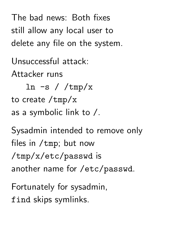The bad news: Both fixes still allow any local user to delete any file on the system.

Unsuccessful attack: Attacker runs

ln  $-s$  /  $/\text{tmp}/x$ to create /tmp/x as a symbolic link to /.

Sysadmin intended to remove only files in /tmp; but now /tmp/x/etc/passwd is another name for /etc/passwd.

Fortunately for sysadmin, find skips symlinks.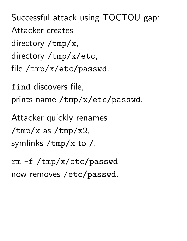Successful attack using TOCTOU gap: Attacker creates directory /tmp/x, directory /tmp/x/etc, file /tmp/x/etc/passwd.

find discovers file, prints name /tmp/x/etc/passwd.

Attacker quickly renames  $/\text{tmp}/\text{x}$  as  $/\text{tmp}/\text{x}$ 2, symlinks /tmp/x to /.

rm -f /tmp/x/etc/passwd now removes /etc/passwd.